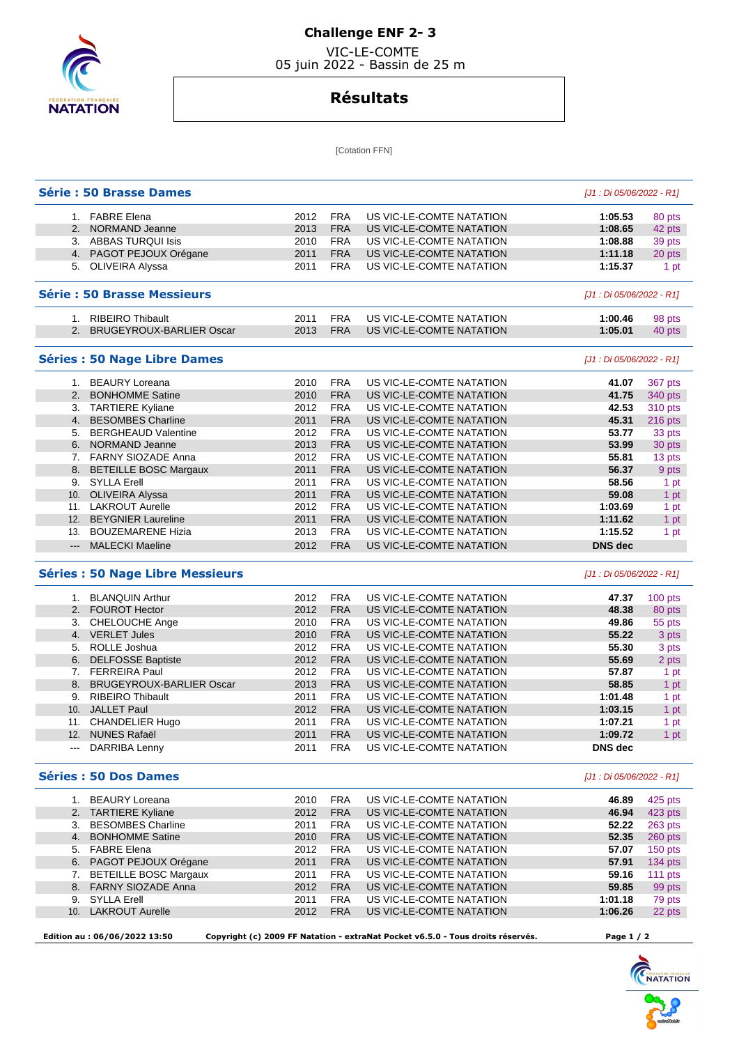

## **Challenge ENF 2- 3**

 VIC-LE-COMTE 05 juin 2022 - Bassin de 25 m

## **Résultats**

[Cotation FFN]

| Série : 50 Brasse Dames |                                         |              |                          |                                                      | [J1 : Di 05/06/2022 - R1] |                                                                                             |
|-------------------------|-----------------------------------------|--------------|--------------------------|------------------------------------------------------|---------------------------|---------------------------------------------------------------------------------------------|
|                         | 1. FABRE Elena                          | 2012         | <b>FRA</b>               | US VIC-LE-COMTE NATATION                             | 1:05.53                   | 80 pts                                                                                      |
|                         | 2. NORMAND Jeanne                       | 2013         | <b>FRA</b>               | US VIC-LE-COMTE NATATION                             | 1:08.65                   | 42 pts                                                                                      |
|                         | 3. ABBAS TURQUI Isis                    | 2010         | <b>FRA</b>               | US VIC-LE-COMTE NATATION                             | 1:08.88                   | 39 pts                                                                                      |
|                         | 4. PAGOT PEJOUX Orégane                 | 2011         | <b>FRA</b>               | US VIC-LE-COMTE NATATION                             | 1:11.18                   | 20 pts                                                                                      |
|                         | 5. OLIVEIRA Alyssa                      | 2011         | <b>FRA</b>               | US VIC-LE-COMTE NATATION                             | 1:15.37                   | 1 pt                                                                                        |
|                         | <b>Série: 50 Brasse Messieurs</b>       |              |                          |                                                      | [J1 : Di 05/06/2022 - R1] |                                                                                             |
|                         | 1. RIBEIRO Thibault                     | 2011         | <b>FRA</b>               | US VIC-LE-COMTE NATATION                             | 1:00.46                   | 98 pts                                                                                      |
|                         | 2. BRUGEYROUX-BARLIER Oscar             | 2013         | <b>FRA</b>               | US VIC-LE-COMTE NATATION                             | 1:05.01                   | 40 pts                                                                                      |
|                         | <b>Séries : 50 Nage Libre Dames</b>     |              |                          |                                                      | [J1 : Di 05/06/2022 - R1] |                                                                                             |
|                         | 1. BEAURY Loreana                       | 2010         | <b>FRA</b>               | US VIC-LE-COMTE NATATION                             | 41.07                     | 367 pts                                                                                     |
| 2.                      | <b>BONHOMME Satine</b>                  | 2010         | <b>FRA</b>               | US VIC-LE-COMTE NATATION                             | 41.75                     | 340 pts                                                                                     |
|                         | 3. TARTIERE Kyliane                     | 2012         | <b>FRA</b>               | US VIC-LE-COMTE NATATION                             | 42.53                     | 310 pts                                                                                     |
|                         | 4. BESOMBES Charline                    | 2011         | <b>FRA</b>               | US VIC-LE-COMTE NATATION                             | 45.31                     | 216 pts                                                                                     |
| 5.                      | <b>BERGHEAUD Valentine</b>              | 2012         | <b>FRA</b>               | US VIC-LE-COMTE NATATION                             | 53.77                     | 33 pts                                                                                      |
|                         | 6. NORMAND Jeanne                       | 2013         | <b>FRA</b>               | US VIC-LE-COMTE NATATION                             | 53.99                     | 30 pts                                                                                      |
|                         | 7. FARNY SIOZADE Anna                   | 2012         | <b>FRA</b>               | US VIC-LE-COMTE NATATION                             | 55.81                     | 13 pts                                                                                      |
|                         | <b>BETEILLE BOSC Margaux</b>            |              | <b>FRA</b>               |                                                      |                           |                                                                                             |
| 8.                      | 9. SYLLA Erell                          | 2011         |                          | US VIC-LE-COMTE NATATION<br>US VIC-LE-COMTE NATATION | 56.37                     | 9 pts                                                                                       |
|                         |                                         | 2011         | <b>FRA</b>               |                                                      | 58.56                     | 1 pt                                                                                        |
|                         | 10. OLIVEIRA Alyssa                     | 2011         | <b>FRA</b>               | US VIC-LE-COMTE NATATION                             | 59.08                     | 1 pt                                                                                        |
|                         | 11. LAKROUT Aurelle                     | 2012         | <b>FRA</b>               | US VIC-LE-COMTE NATATION                             | 1:03.69                   | 1 pt                                                                                        |
|                         | 12. BEYGNIER Laureline                  | 2011         | <b>FRA</b>               | US VIC-LE-COMTE NATATION                             | 1:11.62                   | 1 pt                                                                                        |
|                         |                                         |              |                          |                                                      | 1:15.52                   | 1 pt                                                                                        |
| 13.                     | <b>BOUZEMARENE Hizia</b>                | 2013         | <b>FRA</b>               | US VIC-LE-COMTE NATATION                             |                           |                                                                                             |
| $---$                   | <b>MALECKI Maeline</b>                  | 2012         | <b>FRA</b>               | US VIC-LE-COMTE NATATION                             | <b>DNS</b> dec            |                                                                                             |
|                         | <b>Séries : 50 Nage Libre Messieurs</b> |              |                          |                                                      | [J1 : Di 05/06/2022 - R1] |                                                                                             |
|                         | 1. BLANQUIN Arthur                      | 2012         | <b>FRA</b>               | US VIC-LE-COMTE NATATION                             | 47.37                     | 100 pts                                                                                     |
|                         | 2. FOUROT Hector                        | 2012         | <b>FRA</b>               | US VIC-LE-COMTE NATATION                             | 48.38                     |                                                                                             |
|                         | 3. CHELOUCHE Ange                       | 2010         | <b>FRA</b>               | US VIC-LE-COMTE NATATION                             | 49.86                     |                                                                                             |
|                         | 4. VERLET Jules                         | 2010         | <b>FRA</b>               | US VIC-LE-COMTE NATATION                             | 55.22                     |                                                                                             |
| 5.                      | ROLLE Joshua                            | 2012         | <b>FRA</b>               | US VIC-LE-COMTE NATATION                             | 55.30                     |                                                                                             |
| 6.                      | <b>DELFOSSE Baptiste</b>                | 2012         | <b>FRA</b>               | US VIC-LE-COMTE NATATION                             | 55.69                     |                                                                                             |
|                         | 7. FERREIRA Paul                        | 2012         | <b>FRA</b>               | US VIC-LE-COMTE NATATION                             | 57.87                     |                                                                                             |
|                         | 8. BRUGEYROUX-BARLIER Oscar             |              |                          |                                                      |                           |                                                                                             |
|                         |                                         | 2013         | <b>FRA</b>               | US VIC-LE-COMTE NATATION                             | 58.85                     |                                                                                             |
|                         | 9. RIBEIRO Thibault                     | 2011         | <b>FRA</b>               | US VIC-LE-COMTE NATATION                             | 1:01.48                   |                                                                                             |
|                         | 10. JALLET Paul                         | 2012         | <b>FRA</b>               | US VIC-LE-COMTE NATATION                             | 1:03.15                   |                                                                                             |
|                         | 11. CHANDELIER Hugo                     | 2011         | <b>FRA</b>               | US VIC-LE-COMTE NATATION                             | 1:07.21                   |                                                                                             |
|                         | 12. NUNES Rafaël<br>--- DARRIBA Lenny   | 2011<br>2011 | FRA<br>FRA               | US VIC-LE-COMTE NATATION<br>US VIC-LE-COMTE NATATION | 1:09.72<br><b>DNS</b> dec | 80 pts<br>55 pts<br>3 pts<br>3 pts<br>2 pts<br>1 pt<br>1 pt<br>1 pt<br>1 pt<br>1 pt<br>1 pt |
|                         | <b>Séries : 50 Dos Dames</b>            |              |                          |                                                      | [J1 : Di 05/06/2022 - R1] |                                                                                             |
|                         |                                         |              |                          |                                                      |                           |                                                                                             |
|                         | 1. BEAURY Loreana                       | 2010         | <b>FRA</b>               | US VIC-LE-COMTE NATATION                             | 46.89                     | 425 pts                                                                                     |
|                         | 2. TARTIERE Kyliane                     | 2012         | <b>FRA</b>               | US VIC-LE-COMTE NATATION                             | 46.94                     | 423 pts                                                                                     |
|                         | 3. BESOMBES Charline                    | 2011         | <b>FRA</b>               | US VIC-LE-COMTE NATATION                             | 52.22                     | 263 pts                                                                                     |
|                         | 4. BONHOMME Satine                      | 2010         | <b>FRA</b>               | US VIC-LE-COMTE NATATION                             | 52.35                     | 260 pts                                                                                     |
|                         | 5. FABRE Elena                          | 2012         | <b>FRA</b>               | US VIC-LE-COMTE NATATION                             | 57.07                     |                                                                                             |
|                         | 6. PAGOT PEJOUX Orégane                 | 2011         | <b>FRA</b>               | US VIC-LE-COMTE NATATION                             | 57.91                     | 150 pts<br>134 pts                                                                          |
|                         | 7. BETEILLE BOSC Margaux                | 2011         | FRA                      | US VIC-LE-COMTE NATATION                             | 59.16                     |                                                                                             |
|                         | 8. FARNY SIOZADE Anna                   | 2012         | <b>FRA</b>               | US VIC-LE-COMTE NATATION                             | 59.85                     | 111 pts<br>99 pts                                                                           |
|                         | 9. SYLLA Erell<br>10. LAKROUT Aurelle   | 2011<br>2012 | <b>FRA</b><br><b>FRA</b> | US VIC-LE-COMTE NATATION<br>US VIC-LE-COMTE NATATION | 1:01.18<br>1:06.26        | 79 pts<br>22 pts                                                                            |